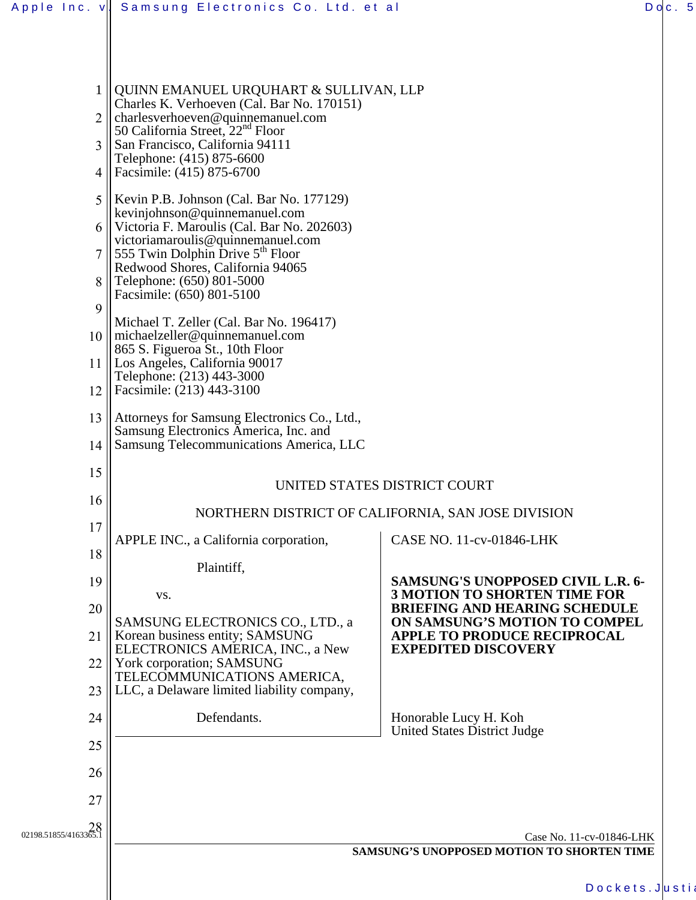|                                | Apple Inc. v   Samsung Electronics Co. Ltd. et al                                                                                                                                                                                                                        |                                                                                 |  | Doc.5 |
|--------------------------------|--------------------------------------------------------------------------------------------------------------------------------------------------------------------------------------------------------------------------------------------------------------------------|---------------------------------------------------------------------------------|--|-------|
|                                |                                                                                                                                                                                                                                                                          |                                                                                 |  |       |
|                                |                                                                                                                                                                                                                                                                          |                                                                                 |  |       |
| $\mathbf{1}$<br>$\mathfrak{Z}$ | QUINN EMANUEL URQUHART & SULLIVAN, LLP<br>Charles K. Verhoeven (Cal. Bar No. 170151)<br>charlesverhoeven@quinnemanuel.com<br>50 California Street, 22 <sup>nd</sup> Floor<br>San Francisco, California 94111                                                             |                                                                                 |  |       |
| 4                              | Telephone: (415) 875-6600<br>Facsimile: (415) 875-6700                                                                                                                                                                                                                   |                                                                                 |  |       |
| 5 <sup>5</sup><br>8            | Kevin P.B. Johnson (Cal. Bar No. 177129)<br>kevinjohnson@quinnemanuel.com<br>6    Victoria F. Maroulis (Cal. Bar No. 202603)<br>victoriamaroulis@quinnemanuel.com<br>555 Twin Dolphin Drive $5th$ Floor<br>Redwood Shores, California 94065<br>Telephone: (650) 801-5000 |                                                                                 |  |       |
| 9                              | Facsimile: (650) 801-5100                                                                                                                                                                                                                                                |                                                                                 |  |       |
|                                | Michael T. Zeller (Cal. Bar No. 196417)<br>10    michaelzeller@quinnemanuel.com                                                                                                                                                                                          |                                                                                 |  |       |
| 11                             | 865 S. Figueroa St., 10th Floor<br>Los Angeles, California 90017                                                                                                                                                                                                         |                                                                                 |  |       |
| 12                             | Telephone: (213) 443-3000<br>Facsimile: (213) 443-3100                                                                                                                                                                                                                   |                                                                                 |  |       |
| 13                             | Attorneys for Samsung Electronics Co., Ltd.,                                                                                                                                                                                                                             |                                                                                 |  |       |
| 14                             | Samsung Electronics America, Inc. and<br>Samsung Telecommunications America, LLC                                                                                                                                                                                         |                                                                                 |  |       |
| 15                             | UNITED STATES DISTRICT COURT                                                                                                                                                                                                                                             |                                                                                 |  |       |
| 16                             | NORTHERN DISTRICT OF CALIFORNIA, SAN JOSE DIVISION                                                                                                                                                                                                                       |                                                                                 |  |       |
| 17                             | APPLE INC., a California corporation,                                                                                                                                                                                                                                    | CASE NO. 11-cv-01846-LHK                                                        |  |       |
| 18                             | Plaintiff,                                                                                                                                                                                                                                                               |                                                                                 |  |       |
| 19                             | VS.                                                                                                                                                                                                                                                                      | <b>SAMSUNG'S UNOPPOSED CIVIL L.R. 6-</b><br><b>3 MOTION TO SHORTEN TIME FOR</b> |  |       |
| 20                             | SAMSUNG ELECTRONICS CO., LTD., a                                                                                                                                                                                                                                         | <b>BRIEFING AND HEARING SCHEDULE</b><br>ON SAMSUNG'S MOTION TO COMPEL           |  |       |
| 21                             | Korean business entity; SAMSUNG<br>ELECTRONICS AMERICA, INC., a New                                                                                                                                                                                                      | <b>APPLE TO PRODUCE RECIPROCAL</b><br><b>EXPEDITED DISCOVERY</b>                |  |       |
| 22                             | York corporation; SAMSUNG<br>TELECOMMUNICATIONS AMERICA,                                                                                                                                                                                                                 |                                                                                 |  |       |
| 23                             | LLC, a Delaware limited liability company,                                                                                                                                                                                                                               |                                                                                 |  |       |
| 24                             | Defendants.                                                                                                                                                                                                                                                              | Honorable Lucy H. Koh<br><b>United States District Judge</b>                    |  |       |
| 25                             |                                                                                                                                                                                                                                                                          |                                                                                 |  |       |
| 26                             |                                                                                                                                                                                                                                                                          |                                                                                 |  |       |
| 27                             |                                                                                                                                                                                                                                                                          |                                                                                 |  |       |
| 02198.51855/4163365.1          | Case No. 11-cv-01846-LHK<br>SAMSUNG'S UNOPPOSED MOTION TO SHORTEN TIME                                                                                                                                                                                                   |                                                                                 |  |       |
|                                |                                                                                                                                                                                                                                                                          | Dockets. Justia                                                                 |  |       |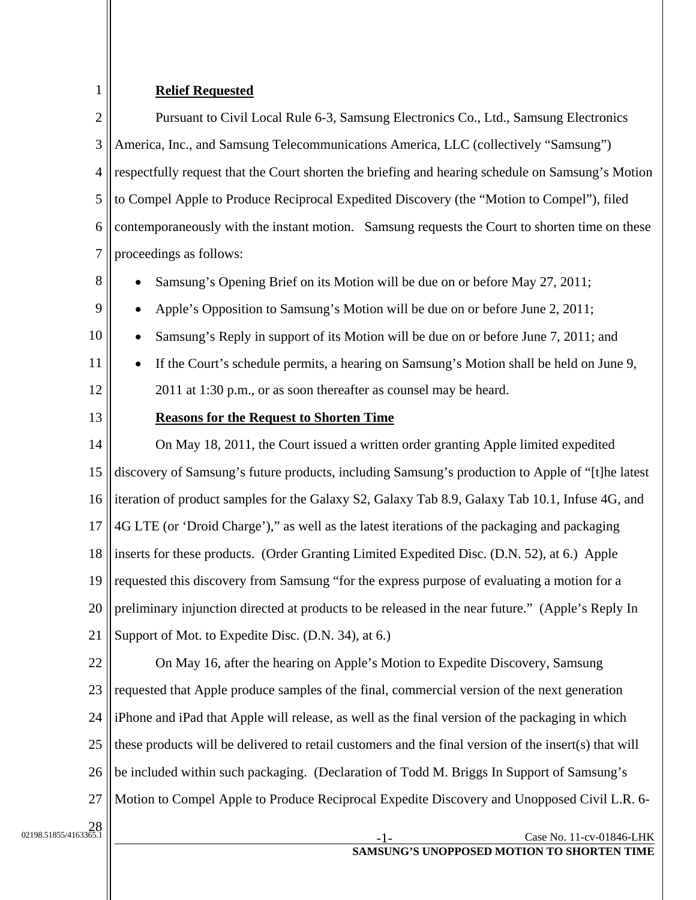## **Relief Requested**

2 3 4 5 6 7 Pursuant to Civil Local Rule 6-3, Samsung Electronics Co., Ltd., Samsung Electronics America, Inc., and Samsung Telecommunications America, LLC (collectively "Samsung") respectfully request that the Court shorten the briefing and hearing schedule on Samsung's Motion to Compel Apple to Produce Reciprocal Expedited Discovery (the "Motion to Compel"), filed contemporaneously with the instant motion. Samsung requests the Court to shorten time on these proceedings as follows:

8 9

1

• Samsung's Opening Brief on its Motion will be due on or before May 27, 2011;

- Apple's Opposition to Samsung's Motion will be due on or before June 2, 2011;
- 10 Samsung's Reply in support of its Motion will be due on or before June 7, 2011; and
	- If the Court's schedule permits, a hearing on Samsung's Motion shall be held on June 9, 2011 at 1:30 p.m., or as soon thereafter as counsel may be heard.
- 13

11

12

# **Reasons for the Request to Shorten Time**

14 15 16 17 18 19 20 21 On May 18, 2011, the Court issued a written order granting Apple limited expedited discovery of Samsung's future products, including Samsung's production to Apple of "[t]he latest iteration of product samples for the Galaxy S2, Galaxy Tab 8.9, Galaxy Tab 10.1, Infuse 4G, and 4G LTE (or 'Droid Charge')," as well as the latest iterations of the packaging and packaging inserts for these products. (Order Granting Limited Expedited Disc. (D.N. 52), at 6.) Apple requested this discovery from Samsung "for the express purpose of evaluating a motion for a preliminary injunction directed at products to be released in the near future." (Apple's Reply In Support of Mot. to Expedite Disc. (D.N. 34), at 6.)

22 23 24 25 26 27 On May 16, after the hearing on Apple's Motion to Expedite Discovery, Samsung requested that Apple produce samples of the final, commercial version of the next generation iPhone and iPad that Apple will release, as well as the final version of the packaging in which these products will be delivered to retail customers and the final version of the insert(s) that will be included within such packaging. (Declaration of Todd M. Briggs In Support of Samsung's Motion to Compel Apple to Produce Reciprocal Expedite Discovery and Unopposed Civil L.R. 6-

 $\frac{28}{22198.51855/4163365}$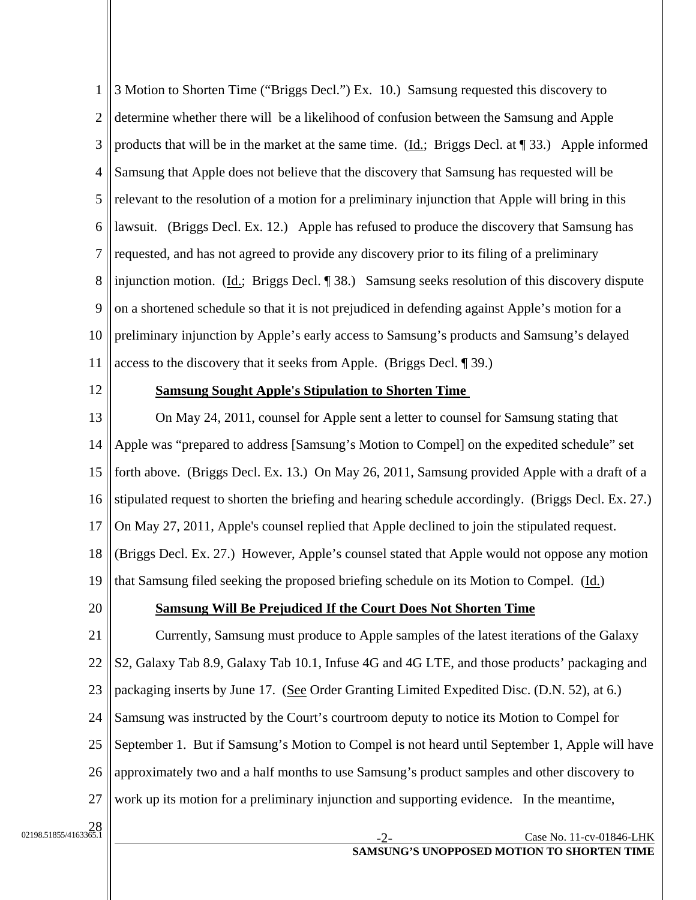1 2 3 4 5 6 7 8 9 10 11 3 Motion to Shorten Time ("Briggs Decl.") Ex. 10.) Samsung requested this discovery to determine whether there will be a likelihood of confusion between the Samsung and Apple products that will be in the market at the same time. (Id.; Briggs Decl. at  $\P$  33.) Apple informed Samsung that Apple does not believe that the discovery that Samsung has requested will be relevant to the resolution of a motion for a preliminary injunction that Apple will bring in this lawsuit. (Briggs Decl. Ex. 12.) Apple has refused to produce the discovery that Samsung has requested, and has not agreed to provide any discovery prior to its filing of a preliminary injunction motion. (Id.; Briggs Decl. ¶ 38.) Samsung seeks resolution of this discovery dispute on a shortened schedule so that it is not prejudiced in defending against Apple's motion for a preliminary injunction by Apple's early access to Samsung's products and Samsung's delayed access to the discovery that it seeks from Apple. (Briggs Decl. ¶ 39.)

12

### **Samsung Sought Apple's Stipulation to Shorten Time**

13 14 15 16 17 18 19 On May 24, 2011, counsel for Apple sent a letter to counsel for Samsung stating that Apple was "prepared to address [Samsung's Motion to Compel] on the expedited schedule" set forth above. (Briggs Decl. Ex. 13.) On May 26, 2011, Samsung provided Apple with a draft of a stipulated request to shorten the briefing and hearing schedule accordingly. (Briggs Decl. Ex. 27.) On May 27, 2011, Apple's counsel replied that Apple declined to join the stipulated request. (Briggs Decl. Ex. 27.) However, Apple's counsel stated that Apple would not oppose any motion that Samsung filed seeking the proposed briefing schedule on its Motion to Compel. (Id.)

20

### **Samsung Will Be Prejudiced If the Court Does Not Shorten Time**

21 22 23 24 25 26 27 Currently, Samsung must produce to Apple samples of the latest iterations of the Galaxy S2, Galaxy Tab 8.9, Galaxy Tab 10.1, Infuse 4G and 4G LTE, and those products' packaging and packaging inserts by June 17. (See Order Granting Limited Expedited Disc. (D.N. 52), at 6.) Samsung was instructed by the Court's courtroom deputy to notice its Motion to Compel for September 1. But if Samsung's Motion to Compel is not heard until September 1, Apple will have approximately two and a half months to use Samsung's product samples and other discovery to work up its motion for a preliminary injunction and supporting evidence. In the meantime,

 $\frac{28}{22198.51855/4163365}$ 

#### Case No. 11-cv-01846-LHK **SAMSUNG'S UNOPPOSED MOTION TO SHORTEN TIME**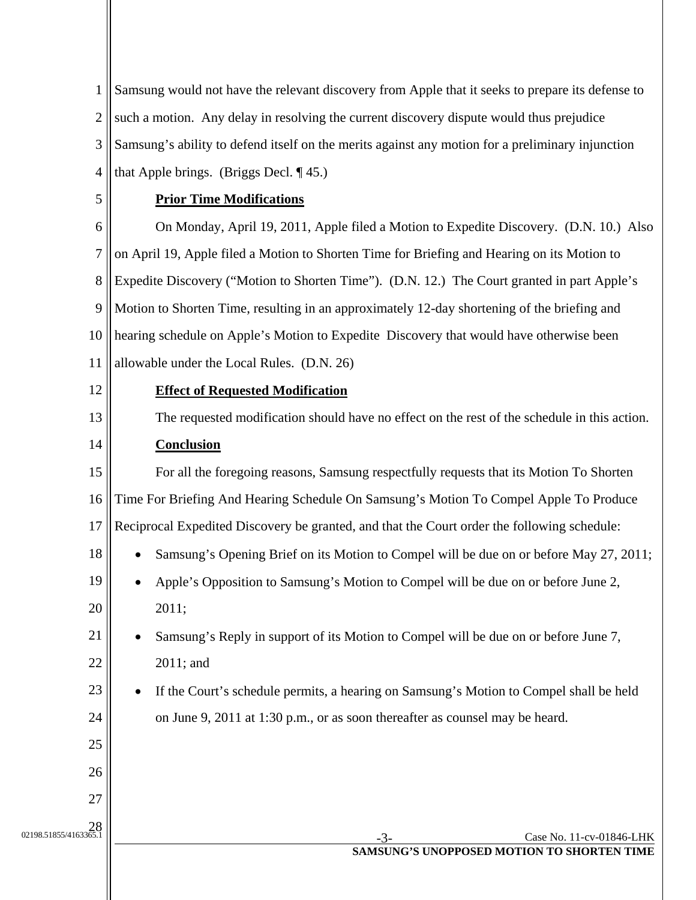1 2 3 4 Samsung would not have the relevant discovery from Apple that it seeks to prepare its defense to such a motion. Any delay in resolving the current discovery dispute would thus prejudice Samsung's ability to defend itself on the merits against any motion for a preliminary injunction that Apple brings. (Briggs Decl. ¶ 45.)

5

# **Prior Time Modifications**

6 7 8 9 10 11 On Monday, April 19, 2011, Apple filed a Motion to Expedite Discovery. (D.N. 10.) Also on April 19, Apple filed a Motion to Shorten Time for Briefing and Hearing on its Motion to Expedite Discovery ("Motion to Shorten Time"). (D.N. 12.) The Court granted in part Apple's Motion to Shorten Time, resulting in an approximately 12-day shortening of the briefing and hearing schedule on Apple's Motion to Expedite Discovery that would have otherwise been allowable under the Local Rules. (D.N. 26)

12

21

25

26

27

28<br>1.2855/4163365.1855/4163365

# **Effect of Requested Modification**

13 The requested modification should have no effect on the rest of the schedule in this action.

#### 14 **Conclusion**

15 16 17 For all the foregoing reasons, Samsung respectfully requests that its Motion To Shorten Time For Briefing And Hearing Schedule On Samsung's Motion To Compel Apple To Produce Reciprocal Expedited Discovery be granted, and that the Court order the following schedule:

- 18 • Samsung's Opening Brief on its Motion to Compel will be due on or before May 27, 2011;
- 19 20 • Apple's Opposition to Samsung's Motion to Compel will be due on or before June 2, 2011;
- 22 • Samsung's Reply in support of its Motion to Compel will be due on or before June 7, 2011; and
- 23 24 If the Court's schedule permits, a hearing on Samsung's Motion to Compel shall be held on June 9, 2011 at 1:30 p.m., or as soon thereafter as counsel may be heard.